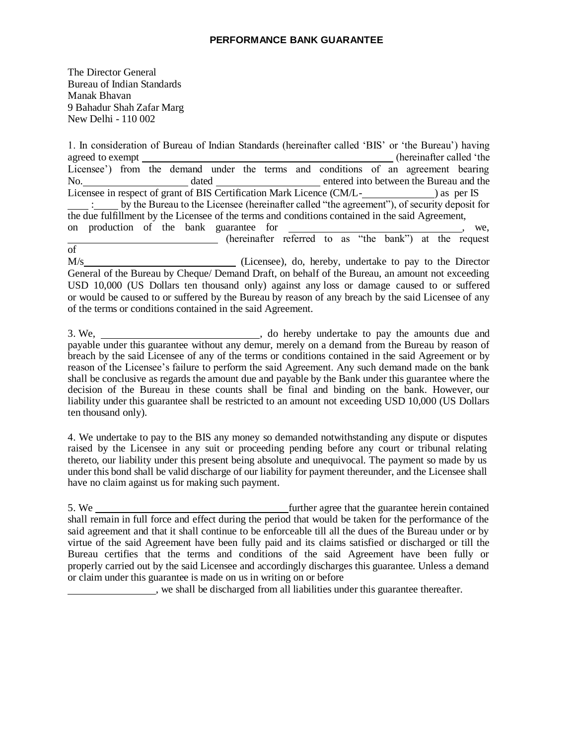## **PERFORMANCE BANK GUARANTEE**

The Director General Bureau of Indian Standards Manak Bhavan 9 Bahadur Shah Zafar Marg New Delhi - 110 002

1. In consideration of Bureau of Indian Standards (hereinafter called 'BIS' or 'the Bureau') having agreed to exempt **exercise agreed to exempt (hereinafter called 'the** Licensee') from the demand under the terms and conditions of an agreement bearing No. dated entered into between the Bureau and the Licensee in respect of grant of BIS Certification Mark Licence (CM/L(CM/L) : by the Bureau to the Licensee (hereinafter called "the agreement"), of security deposit for the due fulfillment by the Licensee of the terms and conditions contained in the said Agreement, on production of the bank guarantee for , we, (hereinafter referred to as "the bank") at the request of

M/s (Licensee), do, hereby, undertake to pay to the Director General of the Bureau by Cheque/ Demand Draft, on behalf of the Bureau, an amount not exceeding USD 10,000 (US Dollars ten thousand only) against any loss or damage caused to or suffered or would be caused to or suffered by the Bureau by reason of any breach by the said Licensee of any of the terms or conditions contained in the said Agreement.

3. We, , do hereby undertake to pay the amounts due and payable under this guarantee without any demur, merely on a demand from the Bureau by reason of breach by the said Licensee of any of the terms or conditions contained in the said Agreement or by reason of the Licensee's failure to perform the said Agreement. Any such demand made on the bank shall be conclusive as regards the amount due and payable by the Bank under this guarantee where the decision of the Bureau in these counts shall be final and binding on the bank. However, our liability under this guarantee shall be restricted to an amount not exceeding USD 10,000 (US Dollars ten thousand only).

4. We undertake to pay to the BIS any money so demanded notwithstanding any dispute or disputes raised by the Licensee in any suit or proceeding pending before any court or tribunal relating thereto, our liability under this present being absolute and unequivocal. The payment so made by us under this bond shall be valid discharge of our liability for payment thereunder, and the Licensee shall have no claim against us for making such payment.

5. We further agree that the guarantee herein contained shall remain in full force and effect during the period that would be taken for the performance of the said agreement and that it shall continue to be enforceable till all the dues of the Bureau under or by virtue of the said Agreement have been fully paid and its claims satisfied or discharged or till the Bureau certifies that the terms and conditions of the said Agreement have been fully or properly carried out by the said Licensee and accordingly discharges this guarantee. Unless a demand or claim under this guarantee is made on us in writing on or before

, we shall be discharged from all liabilities under this guarantee thereafter.